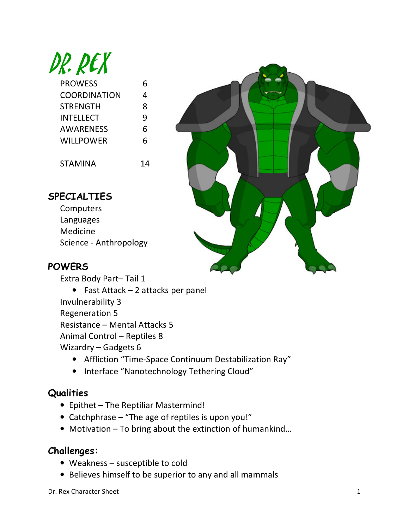

| <b>PROWESS</b> | 6 |
|----------------|---|
| COORDINATION   | 4 |
| STRENGTH       | 8 |
| INTELLECT      | q |
| AWARENESS      | 6 |
| WILLPOWER      | 6 |
|                |   |

STAMINA 14



## SPECIALTIES

**Computers** Languages Medicine Science - Anthropology

## **POWERS**

Extra Body Part– Tail 1

• Fast Attack – 2 attacks per panel Invulnerability 3 Regeneration 5 Resistance – Mental Attacks 5 Animal Control – Reptiles 8 Wizardry – Gadgets 6

- Affliction "Time-Space Continuum Destabilization Ray"
- Interface "Nanotechnology Tethering Cloud"

## **Qualities**

- Epithet The Reptiliar Mastermind!
- Catchphrase "The age of reptiles is upon you!"
- Motivation To bring about the extinction of humankind…

## Challenges:

- Weakness susceptible to cold
- Believes himself to be superior to any and all mammals